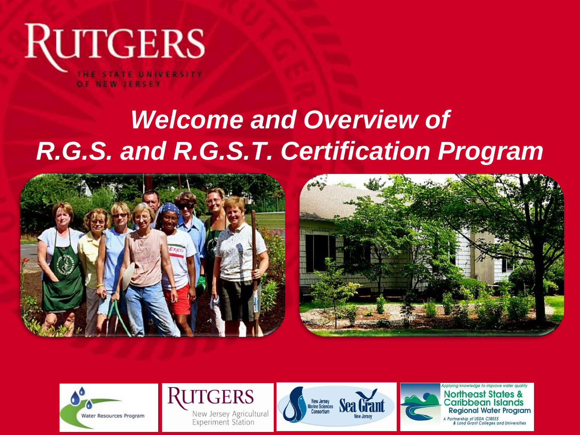

# *Welcome and Overview of R.G.S. and R.G.S.T. Certification Program*











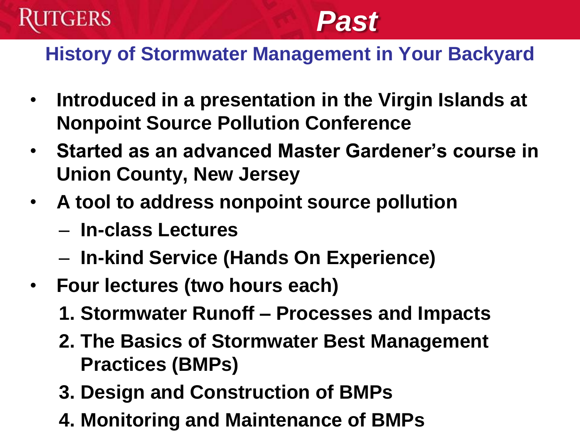

# *Past*

#### **History of Stormwater Management in Your Backyard**

- **Introduced in a presentation in the Virgin Islands at Nonpoint Source Pollution Conference**
- **Started as an advanced Master Gardener's course in Union County, New Jersey**
- **A tool to address nonpoint source pollution**
	- **In-class Lectures**
	- **In-kind Service (Hands On Experience)**
- **Four lectures (two hours each)**
	- **1. Stormwater Runoff – Processes and Impacts**
	- **2. The Basics of Stormwater Best Management Practices (BMPs)**
	- **3. Design and Construction of BMPs**
	- **4. Monitoring and Maintenance of BMPs**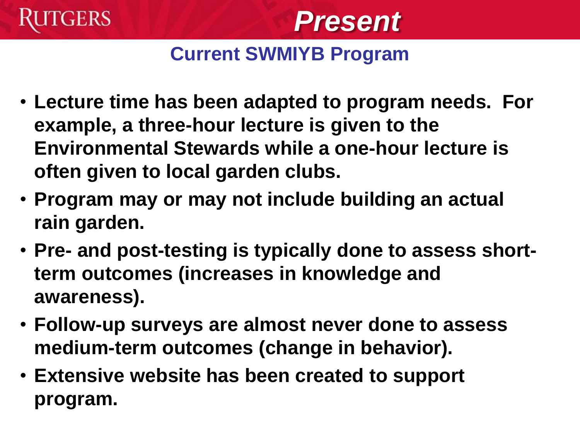



### **Current SWMIYB Program**

- **Lecture time has been adapted to program needs. For example, a three-hour lecture is given to the Environmental Stewards while a one-hour lecture is often given to local garden clubs.**
- **Program may or may not include building an actual rain garden.**
- **Pre- and post-testing is typically done to assess shortterm outcomes (increases in knowledge and awareness).**
- **Follow-up surveys are almost never done to assess medium-term outcomes (change in behavior).**
- **Extensive website has been created to support program.**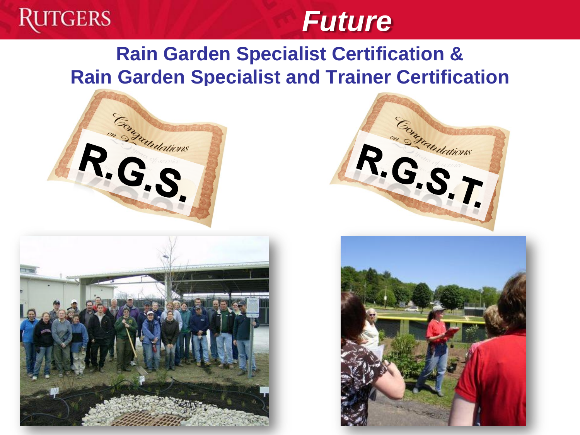

# *Future*

### **Rain Garden Specialist Certification & Rain Garden Specialist and Trainer Certification**







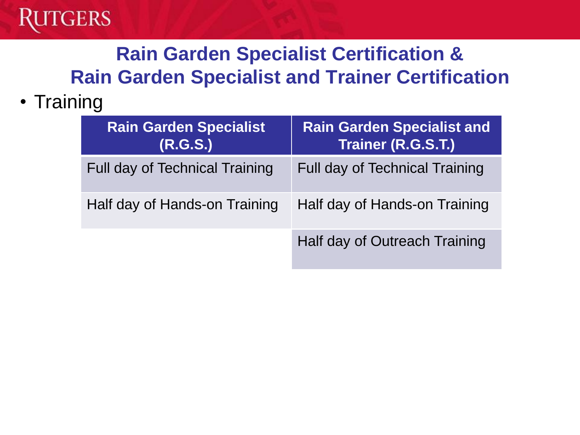

## **Rain Garden Specialist Certification & Rain Garden Specialist and Trainer Certification**

#### • Training

| <b>Rain Garden Specialist</b><br>(R.G.S.) | <b>Rain Garden Specialist and</b><br>Trainer (R.G.S.T.) |
|-------------------------------------------|---------------------------------------------------------|
| <b>Full day of Technical Training</b>     | <b>Full day of Technical Training</b>                   |
| Half day of Hands-on Training             | Half day of Hands-on Training                           |
|                                           | Half day of Outreach Training                           |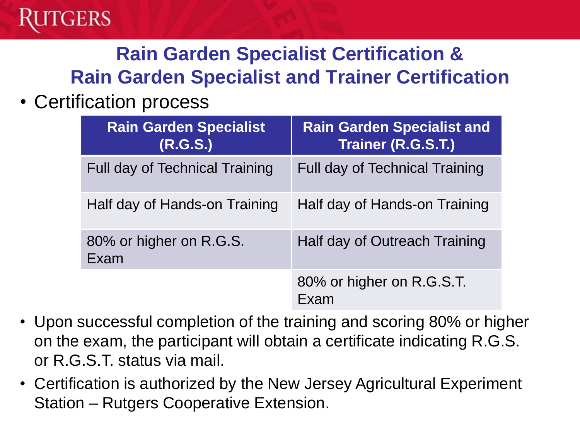

### **Rain Garden Specialist Certification & Rain Garden Specialist and Trainer Certification**

#### • Certification process

| <b>Rain Garden Specialist</b><br>(R.G.S.) | <b>Rain Garden Specialist and</b><br>Trainer (R.G.S.T.) |
|-------------------------------------------|---------------------------------------------------------|
| <b>Full day of Technical Training</b>     | Full day of Technical Training                          |
| Half day of Hands-on Training             | Half day of Hands-on Training                           |
| 80% or higher on R.G.S.<br>Exam           | Half day of Outreach Training                           |
|                                           | 80% or higher on R.G.S.T.<br>Exam                       |

- Upon successful completion of the training and scoring 80% or higher on the exam, the participant will obtain a certificate indicating R.G.S. or R.G.S.T. status via mail.
- Certification is authorized by the New Jersey Agricultural Experiment Station – Rutgers Cooperative Extension.